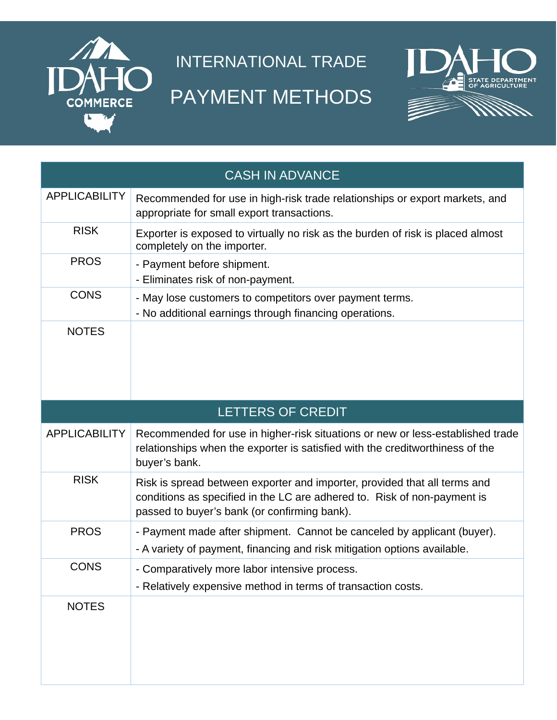

## INTERNATIONAL TRADE PAYMENT METHODS



| <b>CASH IN ADVANCE</b> |                                                                                                                                                                                                       |
|------------------------|-------------------------------------------------------------------------------------------------------------------------------------------------------------------------------------------------------|
| <b>APPLICABILITY</b>   | Recommended for use in high-risk trade relationships or export markets, and<br>appropriate for small export transactions.                                                                             |
| <b>RISK</b>            | Exporter is exposed to virtually no risk as the burden of risk is placed almost<br>completely on the importer.                                                                                        |
| <b>PROS</b>            | - Payment before shipment.<br>- Eliminates risk of non-payment.                                                                                                                                       |
| <b>CONS</b>            | - May lose customers to competitors over payment terms.<br>- No additional earnings through financing operations.                                                                                     |
| <b>NOTES</b>           |                                                                                                                                                                                                       |
| LETTERS OF CREDIT      |                                                                                                                                                                                                       |
| <b>APPLICABILITY</b>   | Recommended for use in higher-risk situations or new or less-established trade                                                                                                                        |
|                        | relationships when the exporter is satisfied with the creditworthiness of the<br>buyer's bank.                                                                                                        |
| <b>RISK</b>            | Risk is spread between exporter and importer, provided that all terms and<br>conditions as specified in the LC are adhered to. Risk of non-payment is<br>passed to buyer's bank (or confirming bank). |
| <b>PROS</b>            | - Payment made after shipment. Cannot be canceled by applicant (buyer).<br>- A variety of payment, financing and risk mitigation options available.                                                   |
| <b>CONS</b>            | - Comparatively more labor intensive process.<br>- Relatively expensive method in terms of transaction costs.                                                                                         |